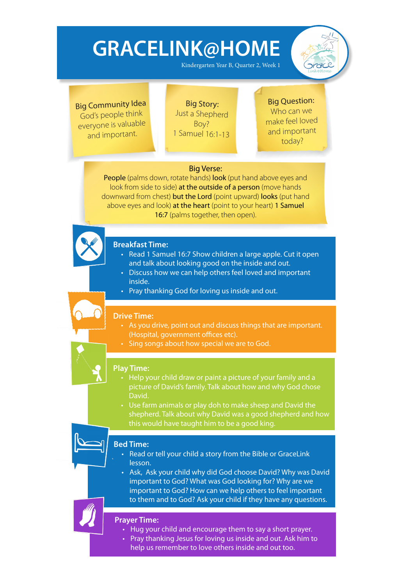Kindergarten Year B, Quarter 2, Week 1



Big Community Idea God's people think everyone is valuable and important.

Big Story: Just a Shepherd Boy? 1 Samuel 16:1-13

### Big Question:

Who can we make feel loved and important today?

### Big Verse:

People (palms down, rotate hands) look (put hand above eyes and look from side to side) at the outside of a person (move hands downward from chest) **but the Lord** (point upward) **looks** (put hand above eyes and look) at the heart (point to your heart) 1 Samuel 16:7 (palms together, then open).



### **Breakfast Time:**

- Read 1 Samuel 16:7 Show children a large apple. Cut it open and talk about looking good on the inside and out.
- Discuss how we can help others feel loved and important inside.
- Pray thanking God for loving us inside and out.

#### **Drive Time:**

- As you drive, point out and discuss things that are important. (Hospital, government offices etc).
- Sing songs about how special we are to God.

#### **Play Time:**

- Help your child draw or paint a picture of your family and a picture of David's family. Talk about how and why God chose David.
- Use farm animals or play doh to make sheep and David the shepherd. Talk about why David was a good shepherd and how this would have taught him to be a good king.

### **Bed Time:**

- Read or tell your child a story from the Bible or GraceLink lesson.
- Ask, Ask your child why did God choose David? Why was David important to God? What was God looking for? Why are we important to God? How can we help others to feel important to them and to God? Ask your child if they have any questions.

- Hug your child and encourage them to say a short prayer.
- Pray thanking Jesus for loving us inside and out. Ask him to help us remember to love others inside and out too.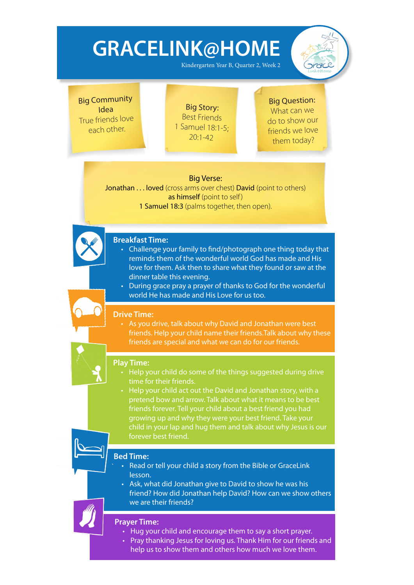Kindergarten Year B, Quarter 2, Week 2



Big Community Idea True friends love each other.

Big Story: Best Friends 1 Samuel 18:1-5;  $20:1 - 42$ 

### Big Question: What can we do to show our friends we love them today?

### Big Verse:

Jonathan . . . loved (cross arms over chest) David (point to others) as himself (point to self) 1 Samuel 18:3 (palms together, then open).

### **Breakfast Time:**

- Challenge your family to find/photograph one thing today that reminds them of the wonderful world God has made and His love for them. Ask then to share what they found or saw at the dinner table this evening.
- During grace pray a prayer of thanks to God for the wonderful world He has made and His Love for us too.

### **Drive Time:**

• As you drive, talk about why David and Jonathan were best friends. Help your child name their friends.Talk about why these friends are special and what we can do for our friends.



#### **Play Time:**

- Help your child do some of the things suggested during drive time for their friends.
- Help your child act out the David and Jonathan story, with a pretend bow and arrow. Talk about what it means to be best friends forever. Tell your child about a best friend you had growing up and why they were your best friend. Take your child in your lap and hug them and talk about why Jesus is our forever best friend.

### **Bed Time:**

- Read or tell your child a story from the Bible or GraceLink lesson.
- • Ask, what did Jonathan give to David to show he was his friend? How did Jonathan help David? How can we show others we are their friends?

- Hug your child and encourage them to say a short prayer.
- Pray thanking Jesus for loving us. Thank Him for our friends and help us to show them and others how much we love them.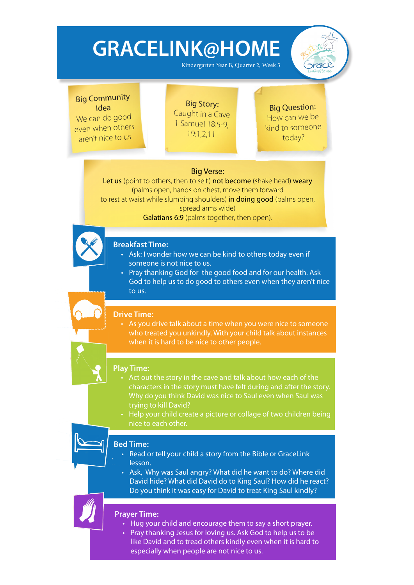Kindergarten Year B, Quarter 2, Week 3



### Big Community Idea

We can do good even when others aren't nice to us

Big Story: Caught in a Cave 1 Samuel 18:5-9, 19:1,2,11

### Big Question: How can we be kind to someone today?

### Big Verse:

Let us (point to others, then to self) not become (shake head) weary (palms open, hands on chest, move them forward to rest at waist while slumping shoulders) in doing good (palms open, spread arms wide)

Galatians 6:9 (palms together, then open).



### **Breakfast Time:**

- Ask: I wonder how we can be kind to others today even if someone is not nice to us.
- Pray thanking God for the good food and for our health. Ask God to help us to do good to others even when they aren't nice to us.

### **Drive Time:**

• As you drive talk about a time when you were nice to someone who treated you unkindly. With your child talk about instances when it is hard to be nice to other people.

### **Play Time:**

- Act out the story in the cave and talk about how each of the characters in the story must have felt during and after the story. Why do you think David was nice to Saul even when Saul was trying to kill David?
- Help your child create a picture or collage of two children being nice to each other.

### **Bed Time:**

- **Read or tell your child a story from the Bible or GraceLink** lesson.
- Ask, Why was Saul angry? What did he want to do? Where did David hide? What did David do to King Saul? How did he react? Do you think it was easy for David to treat King Saul kindly?

- Hug your child and encourage them to say a short prayer.
- Pray thanking Jesus for loving us. Ask God to help us to be like David and to tread others kindly even when it is hard to especially when people are not nice to us.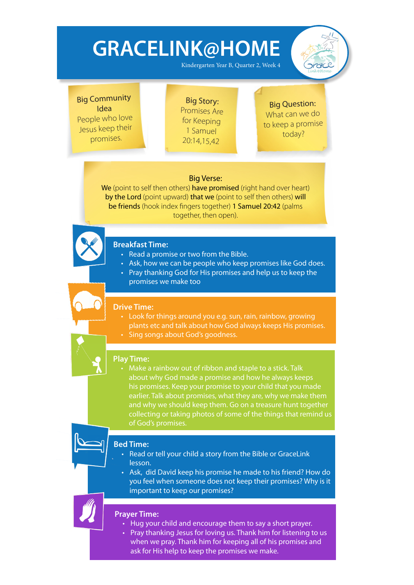Kindergarten Year B, Quarter 2, Week 4



Big Community Idea People who love Jesus keep their promises.

Big Story: Promises Are for Keeping 1 Samuel 20:14,15,42

### Big Question: What can we do to keep a promise today?

### Big Verse:

We (point to self then others) have promised (right hand over heart) by the Lord (point upward) that we (point to self then others) will be friends (hook index fingers together) 1 Samuel 20:42 (palms together, then open).



### **Breakfast Time:**

- Read a promise or two from the Bible.
- Ask, how we can be people who keep promises like God does.
- Pray thanking God for His promises and help us to keep the promises we make too

### **Drive Time:**

- Look for things around you e.g. sun, rain, rainbow, growing plants etc and talk about how God always keeps His promises.
- Sing songs about God's goodness.

### **Play Time:**

• Make a rainbow out of ribbon and staple to a stick. Talk about why God made a promise and how he always keeps his promises. Keep your promise to your child that you made earlier. Talk about promises, what they are, why we make them and why we should keep them. Go on a treasure hunt together collecting or taking photos of some of the things that remind us of God's promises.



### **Bed Time:**

- Read or tell your child a story from the Bible or GraceLink lesson.
- Ask, did David keep his promise he made to his friend? How do you feel when someone does not keep their promises? Why is it important to keep our promises?

- Hug your child and encourage them to say a short prayer.
- Pray thanking Jesus for loving us. Thank him for listening to us when we pray. Thank him for keeping all of his promises and ask for His help to keep the promises we make.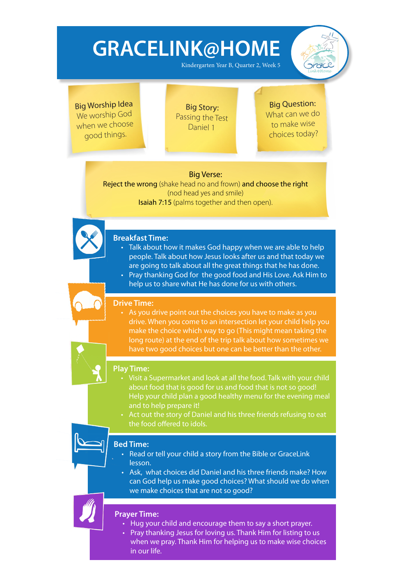Kindergarten Year B, Quarter 2, Week 5



Big Worship Idea We worship God when we choose good things.

Big Story: Passing the Test Daniel 1

Big Question: What can we do to make wise choices today?

### Big Verse:

Reject the wrong (shake head no and frown) and choose the right (nod head yes and smile) Isaiah 7:15 (palms together and then open).



- Talk about how it makes God happy when we are able to help people. Talk about how Jesus looks after us and that today we are going to talk about all the great things that he has done.
- Pray thanking God for the good food and His Love. Ask Him to help us to share what He has done for us with others.

### **Drive Time:**

As you drive point out the choices you have to make as you drive. When you come to an intersection let your child help you make the choice which way to go (This might mean taking the long route) at the end of the trip talk about how sometimes we have two good choices but one can be better than the other.



### Visit a Supermarket and look at all the food. Talk with your child about food that is good for us and food that is not so good! Help your child plan a good healthy menu for the evening meal and to help prepare it!

Act out the story of Daniel and his three friends refusing to eat the food offered to idols.



#### **Bed Time:**

- Read or tell your child a story from the Bible or GraceLink lesson.
- Ask, what choices did Daniel and his three friends make? How can God help us make good choices? What should we do when we make choices that are not so good?



- Hug your child and encourage them to say a short prayer.
- Pray thanking Jesus for loving us. Thank Him for listing to us when we pray. Thank Him for helping us to make wise choices in our life.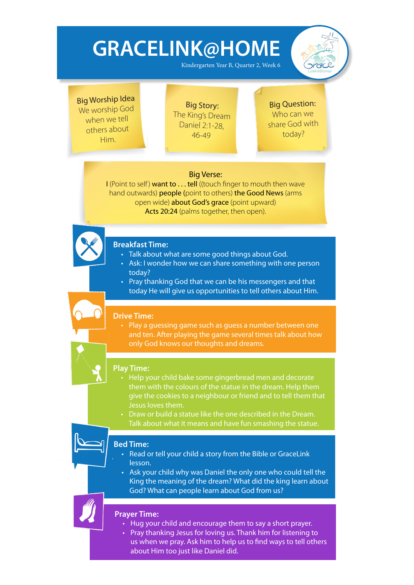Kindergarten Year B, Quarter 2, Week 6



Big Worship Idea We worship God when we tell others about Him.

Big Story: The King's Dream Daniel 2:1-28, 46-49

Big Question: Who can we share God with today?

### Big Verse:

I (Point to self) want to . . . tell ((touch finger to mouth then wave hand outwards) people (point to others) the Good News (arms open wide) about God's grace (point upward) Acts 20:24 (palms together, then open).



### **Breakfast Time:**

- Talk about what are some good things about God.
- Ask: I wonder how we can share something with one person today?
- Pray thanking God that we can be his messengers and that today He will give us opportunities to tell others about Him.

### **Drive Time:**

• Play a quessing game such as quess a number between one and ten. After playing the game several times talk about how only God knows our thoughts and dreams.

### **Play Time:**

- Help your child bake some gingerbread men and decorate them with the colours of the statue in the dream. Help them give the cookies to a neighbour or friend and to tell them that Jesus loves them.
- Draw or build a statue like the one described in the Dream. Talk about what it means and have fun smashing the statue.

### **Bed Time:**

• 

- Read or tell your child a story from the Bible or GraceLink lesson.
- Ask your child why was Daniel the only one who could tell the King the meaning of the dream? What did the king learn about God? What can people learn about God from us?

- Hug your child and encourage them to say a short prayer.
- Pray thanking Jesus for loving us. Thank him for listening to us when we pray. Ask him to help us to find ways to tell others about Him too just like Daniel did.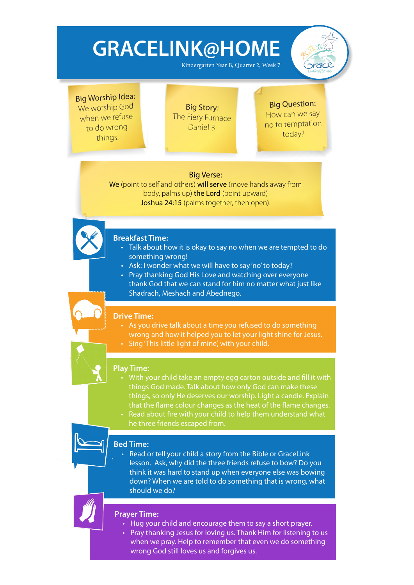Kindergarten Year B, Quarter 2, Week 7



Big Worship Idea: We worship God when we refuse to do wrong things.

Big Story: The Fiery Furnace Daniel 3

Big Question: How can we say no to temptation today?

### Big Verse:

We (point to self and others) will serve (move hands away from body, palms up) the Lord (point upward) Joshua 24:15 (palms together, then open).



### **Breakfast Time:**

- Talk about how it is okay to say no when we are tempted to do something wrong!
- Ask: I wonder what we will have to say 'no' to today?
- Pray thanking God His Love and watching over everyone thank God that we can stand for him no matter what just like Shadrach, Meshach and Abednego.

### **Drive Time:**

- As you drive talk about a time you refused to do something wrong and how it helped you to let your light shine for Jesus.
- Sing 'This little light of mine', with your child.

### **Play Time:**

- With your child take an empty egg carton outside and fill it with things God made. Talk about how only God can make these things, so only He deserves our worship. Light a candle. Explain that the flame colour changes as the heat of the flame changes.
- Read about fire with your child to help them understand what he three friends escaped from.

### **Bed Time:**

Read or tell your child a story from the Bible or GraceLink lesson. Ask, why did the three friends refuse to bow? Do you think it was hard to stand up when everyone else was bowing down? When we are told to do something that is wrong, what should we do?



- Hug your child and encourage them to say a short prayer.
- Pray thanking Jesus for loving us. Thank Him for listening to us when we pray. Help to remember that even we do something wrong God still loves us and forgives us.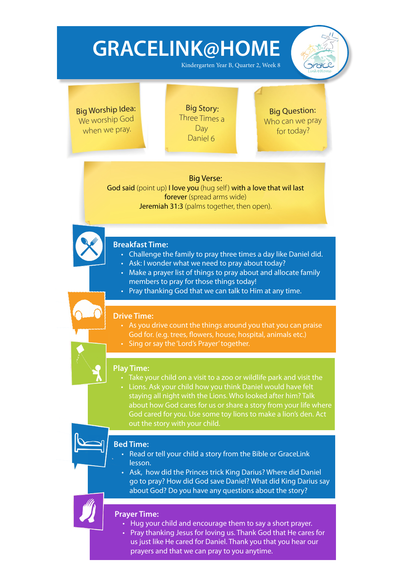Kindergarten Year B, Quarter 2, Week 8

Big Worship Idea: We worship God when we pray.

Big Story: Three Times a **Dav** Daniel 6

Big Question: Who can we pray for today?

 $rac{1}{2}$ 

### Big Verse:

God said (point up) I love you (hug self) with a love that wil last forever (spread arms wide) Jeremiah 31:3 (palms together, then open).



- Challenge the family to pray three times a day like Daniel did.
- Ask: I wonder what we need to pray about today?
- Make a prayer list of things to pray about and allocate family members to pray for those things today!
- $\cdot$  Pray thanking God that we can talk to Him at any time.

#### **Drive Time:**

- As you drive count the things around you that you can praise God for. (e.g. trees, flowers, house, hospital, animals etc.)
- Sing or say the 'Lord's Prayer' together.

### **Play Time:**

- Take your child on a visit to a zoo or wildlife park and visit the
- Lions. Ask your child how you think Daniel would have felt staying all night with the Lions. Who looked after him? Talk about how God cares for us or share a story from your life where God cared for you. Use some toy lions to make a lion's den. Act out the story with your child.

### **Bed Time:**

- Read or tell your child a story from the Bible or GraceLink lesson.
- Ask, how did the Princes trick King Darius? Where did Daniel go to pray? How did God save Daniel? What did King Darius say about God? Do you have any questions about the story?

- Hug your child and encourage them to say a short prayer.
- Pray thanking Jesus for loving us. Thank God that He cares for us just like He cared for Daniel. Thank you that you hear our prayers and that we can pray to you anytime.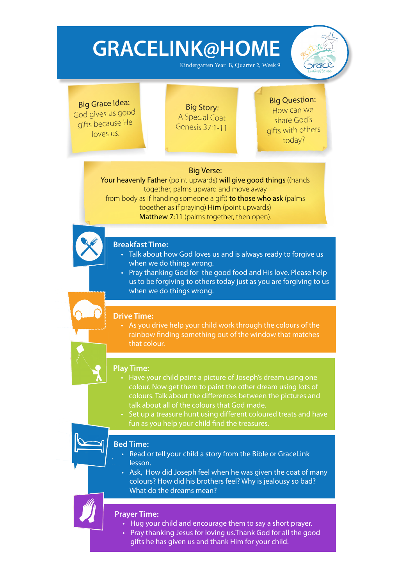Kindergarten Year B, Quarter 2, Week 9



Big Grace Idea: God gives us goo<sup>d</sup> <sup>g</sup>ifts because He loves us.

Big Story: A Special Coat Genesis 37:1-11

### Big Question: How can we share God's <sup>g</sup>ifts with others today?

### Big Verse:

Your heavenly Father (point upwards) will give good things ((hands together, palms upward and move away from body as if handing someone a gift) to those who ask (palms together as if praying) Him (point upwards) Matthew 7:11 (palms together, then open).



### **Breakfast Time:**

- Talk about how God loves us and is always ready to forgive us when we do things wrong.
- Pray thanking God for the good food and His love. Please help us to be forgiving to others today just as you are forgiving to us when we do things wrong.

### **Drive Time:**

• As you drive help your child work through the colours of the rainbow finding something out of the window that matches that colour.

### **Play Time:**

- Have your child paint a picture of Joseph's dream using one colour. Now get them to paint the other dream using lots of colours. Talk about the differences between the pictures and talk about all of the colours that God made.
- Set up a treasure hunt using different coloured treats and have fun as you help your child find the treasures.

### **Bed Time:**

- Read or tell your child a story from the Bible or GraceLink lesson.
- Ask, How did Joseph feel when he was given the coat of many colours? How did his brothers feel? Why is jealousy so bad? What do the dreams mean?

- Hug your child and encourage them to say a short prayer.
- Pray thanking Jesus for loving us. Thank God for all the good gifts he has given us and thank Him for your child.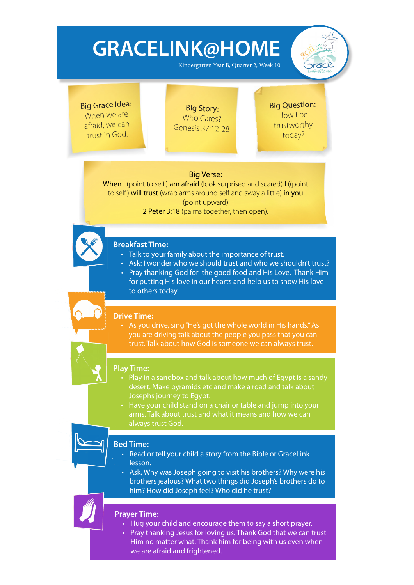Kindergarten Year B, Quarter 2, Week 10



Big Grace Idea: When we are afraid, we can trust in God.

Big Story: Who Cares? Genesis 37:12-28 Big Question: How I be trustworthy today?

### Big Verse:

When I (point to self) am afraid (look surprised and scared) I ((point to self) will trust (wrap arms around self and sway a little) in you (point upward)

2 Peter 3:18 (palms together, then open).



### **Breakfast Time:**

- Talk to your family about the importance of trust.
- Ask: I wonder who we should trust and who we shouldn't trust?
- Pray thanking God for the good food and His Love. Thank Him for putting His love in our hearts and help us to show His love to others today.

### **Drive Time:**

• As you drive, sing "He's got the whole world in His hands." As you are driving talk about the people you pass that you can trust. Talk about how God is someone we can always trust.

### **Play Time:**

- Play in a sandbox and talk about how much of Egypt is a sandy desert. Make pyramids etc and make a road and talk about Josephs journey to Egypt.
- Have your child stand on a chair or table and jump into your arms. Talk about trust and what it means and how we can always trust God.



#### **Bed Time:**

- Read or tell your child a story from the Bible or GraceLink lesson.
- Ask, Why was Joseph going to visit his brothers? Why were his brothers jealous? What two things did Joseph's brothers do to him? How did Joseph feel? Who did he trust?

### **Prayer Time:**

• 

- Hug your child and encourage them to say a short prayer.
- Pray thanking Jesus for loving us. Thank God that we can trust Him no matter what. Thank him for being with us even when we are afraid and frightened.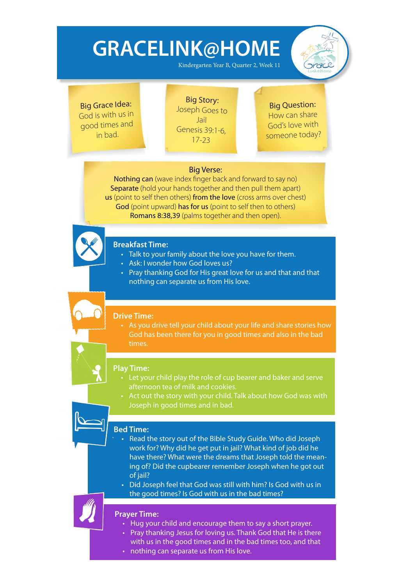Kindergarten Year B, Quarter 2, Week 11



Big Grace Idea: God is with us in good times and in bad.

Big Story: Joseph Goes to Jail Genesis 39:1-6, 17-23

Big Question: How can share God's love with someone today?

### Big Verse:

Nothing can (wave index finger back and forward to say no) Separate (hold your hands together and then pull them apart) us (point to self then others) from the love (cross arms over chest) God (point upward) has for us (point to self then to others) Romans 8:38,39 (palms together and then open).



### **Breakfast Time:**

- Talk to your family about the love you have for them.
- Ask: I wonder how God loves us?
- Pray thanking God for His great love for us and that and that nothing can separate us from His love.

#### **Drive Time:**

• As you drive tell your child about your life and share stories how God has been there for you in good times and also in the bad times.

#### **Play Time:**

- Let your child play the role of cup bearer and baker and serve afternoon tea of milk and cookies.
- Act out the story with your child. Talk about how God was with Joseph in good times and in bad.

### **Bed Time:**

- Read the story out of the Bible Study Guide. Who did Joseph work for? Why did he get put in jail? What kind of job did he have there? What were the dreams that Joseph told the meaning of? Did the cupbearer remember Joseph when he got out of jail?
- Did Joseph feel that God was still with him? Is God with us in the good times? Is God with us in the bad times?

- Hug your child and encourage them to say a short prayer.
- Pray thanking Jesus for loving us. Thank God that He is there with us in the good times and in the bad times too, and that
- nothing can separate us from His love.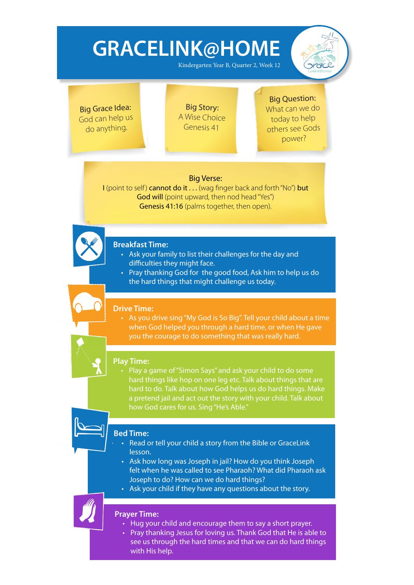Kindergarten Year B, Quarter 2, Week 12



Big Grace Idea: God can help us do anything.

Big Story: A Wise Choice Genesis 41

### Big Question:

What can we do today to help others see Gods power?

### Big Verse:

I (point to self) cannot do it . . . (wag finger back and forth "No") but God will (point upward, then nod head "Yes") Genesis 41:16 (palms together, then open).



### **Breakfast Time:**

- • Ask your family to list their challenges for the day and difficulties they might face.
- Pray thanking God for the good food, Ask him to help us do the hard things that might challenge us today.

### **Drive Time:**

• As you drive sing "My God is So Big". Tell your child about a time when God helped you through a hard time, or when He gave you the courage to do something that was really hard.

### **Play Time:**

Play a game of "Simon Says" and ask your child to do some hard things like hop on one leg etc. Talk about things that are hard to do. Talk about how God helps us do hard things. Make a pretend jail and act out the story with your child. Talk about how God cares for us. Sing "He's Able."

### **Bed Time:**

- Read or tell your child a story from the Bible or GraceLink lesson.
- Ask how long was Joseph in jail? How do you think Joseph felt when he was called to see Pharaoh? What did Pharaoh ask Joseph to do? How can we do hard things?
- Ask your child if they have any questions about the story.

- Hug your child and encourage them to say a short prayer.
- Pray thanking Jesus for loving us. Thank God that He is able to see us through the hard times and that we can do hard things with His help.